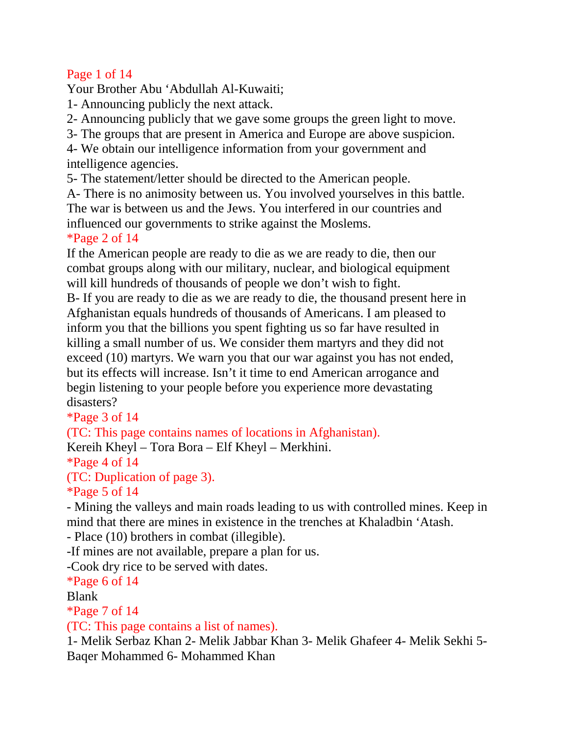## Page 1 of 14

Your Brother Abu 'Abdullah Al-Kuwaiti;

- 1- Announcing publicly the next attack.
- 2- Announcing publicly that we gave some groups the green light to move.
- 3- The groups that are present in America and Europe are above suspicion.

4- We obtain our intelligence information from your government and intelligence agencies.

5- The statement/letter should be directed to the American people.

A- There is no animosity between us. You involved yourselves in this battle. The war is between us and the Jews. You interfered in our countries and influenced our governments to strike against the Moslems.

#### \*Page 2 of 14

If the American people are ready to die as we are ready to die, then our combat groups along with our military, nuclear, and biological equipment will kill hundreds of thousands of people we don't wish to fight.

B- If you are ready to die as we are ready to die, the thousand present here in Afghanistan equals hundreds of thousands of Americans. I am pleased to inform you that the billions you spent fighting us so far have resulted in killing a small number of us. We consider them martyrs and they did not exceed (10) martyrs. We warn you that our war against you has not ended, but its effects will increase. Isn't it time to end American arrogance and begin listening to your people before you experience more devastating disasters?

\*Page 3 of 14

(TC: This page contains names of locations in Afghanistan).

Kereih Kheyl – Tora Bora – Elf Kheyl – Merkhini.

\*Page 4 of 14

(TC: Duplication of page 3).

\*Page 5 of 14

- Mining the valleys and main roads leading to us with controlled mines. Keep in mind that there are mines in existence in the trenches at Khaladbin 'Atash.

- Place (10) brothers in combat (illegible).

-If mines are not available, prepare a plan for us.

-Cook dry rice to be served with dates.

\*Page 6 of 14

Blank

\*Page 7 of 14

(TC: This page contains a list of names).

1- Melik Serbaz Khan 2- Melik Jabbar Khan 3- Melik Ghafeer 4- Melik Sekhi 5- Baqer Mohammed 6- Mohammed Khan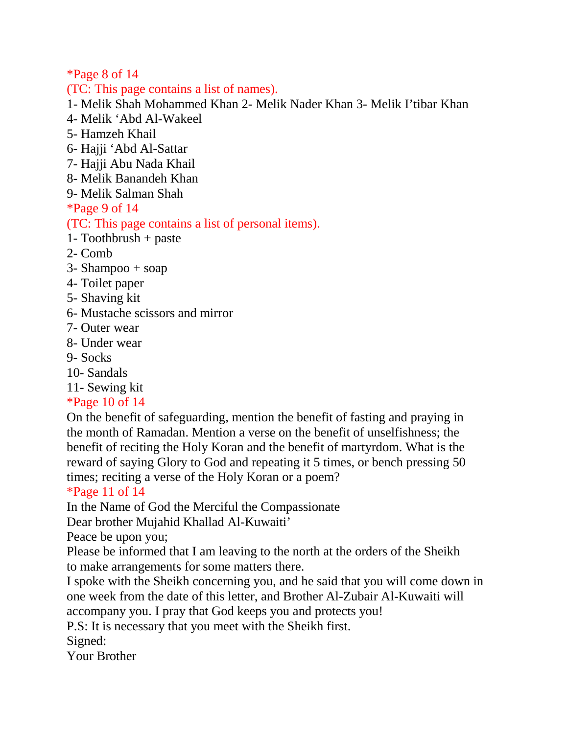\*Page 8 of 14

(TC: This page contains a list of names).

1- Melik Shah Mohammed Khan 2- Melik Nader Khan 3- Melik I'tibar Khan

- 4- Melik 'Abd Al-Wakeel
- 5- Hamzeh Khail
- 6- Hajji 'Abd Al-Sattar
- 7- Hajji Abu Nada Khail
- 8- Melik Banandeh Khan
- 9- Melik Salman Shah

\*Page 9 of 14

### (TC: This page contains a list of personal items).

- 1- Toothbrush + paste
- 2- Comb
- $3-$  Shampoo  $+$  soap
- 4- Toilet paper
- 5- Shaving kit
- 6- Mustache scissors and mirror
- 7- Outer wear
- 8- Under wear
- 9- Socks
- 10- Sandals
- 11- Sewing kit

# \*Page 10 of 14

On the benefit of safeguarding, mention the benefit of fasting and praying in the month of Ramadan. Mention a verse on the benefit of unselfishness; the benefit of reciting the Holy Koran and the benefit of martyrdom. What is the reward of saying Glory to God and repeating it 5 times, or bench pressing 50 times; reciting a verse of the Holy Koran or a poem?

# \*Page 11 of 14

In the Name of God the Merciful the Compassionate

Dear brother Mujahid Khallad Al-Kuwaiti'

Peace be upon you;

Please be informed that I am leaving to the north at the orders of the Sheikh to make arrangements for some matters there.

I spoke with the Sheikh concerning you, and he said that you will come down in one week from the date of this letter, and Brother Al-Zubair Al-Kuwaiti will accompany you. I pray that God keeps you and protects you!

P.S: It is necessary that you meet with the Sheikh first.

Signed:

Your Brother